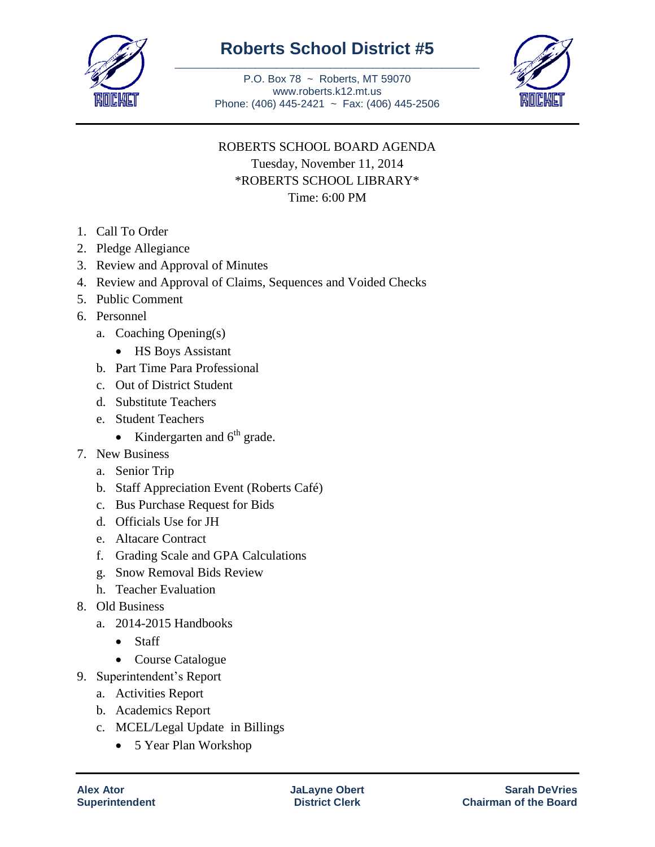

## **Roberts School District #5** \_\_\_\_\_\_\_\_\_\_\_\_\_\_\_\_\_\_\_\_\_\_\_\_\_\_\_\_\_\_\_\_\_\_\_\_\_\_\_\_\_\_\_\_\_\_\_\_\_\_\_\_\_\_\_\_\_

P.O. Box 78 ~ Roberts, MT 59070 www.roberts.k12.mt.us Phone: (406) 445-2421 ~ Fax: (406) 445-2506



## ROBERTS SCHOOL BOARD AGENDA Tuesday, November 11, 2014 \*ROBERTS SCHOOL LIBRARY\*

Time: 6:00 PM

- 1. Call To Order
- 2. Pledge Allegiance
- 3. Review and Approval of Minutes
- 4. Review and Approval of Claims, Sequences and Voided Checks
- 5. Public Comment
- 6. Personnel
	- a. Coaching Opening(s)
		- HS Boys Assistant
	- b. Part Time Para Professional
	- c. Out of District Student
	- d. Substitute Teachers
	- e. Student Teachers
		- Kindergarten and  $6<sup>th</sup>$  grade.
- 7. New Business
	- a. Senior Trip
	- b. Staff Appreciation Event (Roberts Café)
	- c. Bus Purchase Request for Bids
	- d. Officials Use for JH
	- e. Altacare Contract
	- f. Grading Scale and GPA Calculations
	- g. Snow Removal Bids Review
	- h. Teacher Evaluation
- 8. Old Business
	- a. 2014-2015 Handbooks
		- Staff
		- Course Catalogue
- 9. Superintendent's Report
	- a. Activities Report
	- b. Academics Report
	- c. MCEL/Legal Update in Billings
		- 5 Year Plan Workshop